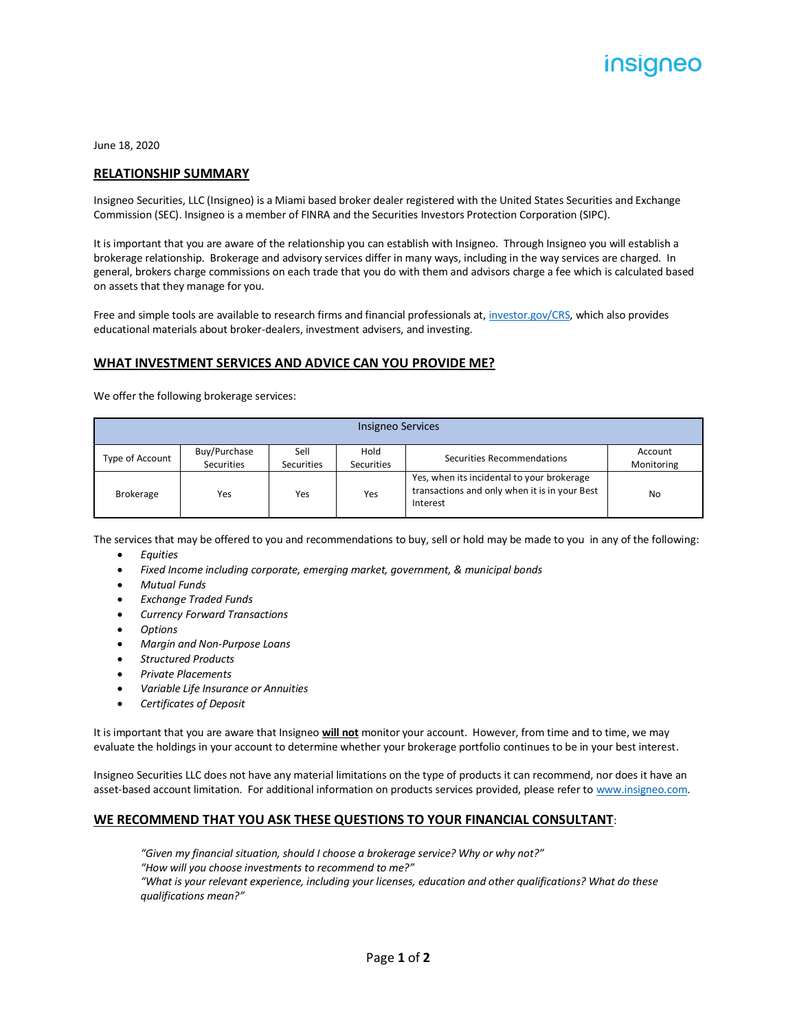June 18, 2020

#### **RELATIONSHIP SUMMARY**

Insigneo Securities, LLC (Insigneo) is a Miami based broker dealer registered with the United States Securities and Exchange Commission (SEC). Insigneo is a member of FINRA and the Securities Investors Protection Corporation (SIPC).

It is important that you are aware of the relationship you can establish with Insigneo. Through Insigneo you will establish a brokerage relationship. Brokerage and advisory services differ in many ways, including in the way services are charged. In general, brokers charge commissions on each trade that you do with them and advisors charge a fee which is calculated based on assets that they manage for you.

Free and simple tools are available to research firms and financial professionals at[, investor.gov/CRS,](https://www.investor.gov/CRS) which also provides educational materials about broker-dealers, investment advisers, and investing.

## **WHAT INVESTMENT SERVICES AND ADVICE CAN YOU PROVIDE ME?**

We offer the following brokerage services:

| Insigneo Services |                            |                    |                           |                                                                                                         |                       |
|-------------------|----------------------------|--------------------|---------------------------|---------------------------------------------------------------------------------------------------------|-----------------------|
| Type of Account   | Buy/Purchase<br>Securities | Sell<br>Securities | Hold<br><b>Securities</b> | Securities Recommendations                                                                              | Account<br>Monitoring |
| <b>Brokerage</b>  | Yes                        | Yes                | Yes                       | Yes, when its incidental to your brokerage<br>transactions and only when it is in your Best<br>Interest | No                    |

The services that may be offered to you and recommendations to buy, sell or hold may be made to you in any of the following:

- *Equities*
- *Fixed Income including corporate, emerging market, government, & municipal bonds*
- *Mutual Funds*
- *Exchange Traded Funds*
- *Currency Forward Transactions*
- *Options*
- *Margin and Non-Purpose Loans*
- *Structured Products*
- *Private Placements*
- *Variable Life Insurance or Annuities*
- *Certificates of Deposit*

It is important that you are aware that Insigneo **will not** monitor your account. However, from time and to time, we may evaluate the holdings in your account to determine whether your brokerage portfolio continues to be in your best interest.

Insigneo Securities LLC does not have any material limitations on the type of products it can recommend, nor does it have an asset-based account limitation. For additional information on products services provided, please refer to [www.insigneo.com.](http://www.insigneo.com/)

### **WE RECOMMEND THAT YOU ASK THESE QUESTIONS TO YOUR FINANCIAL CONSULTANT**:

*"Given my financial situation, should I choose a brokerage service? Why or why not?" "How will you choose investments to recommend to me?" "What is your relevant experience, including your licenses, education and other qualifications? What do these qualifications mean?"*